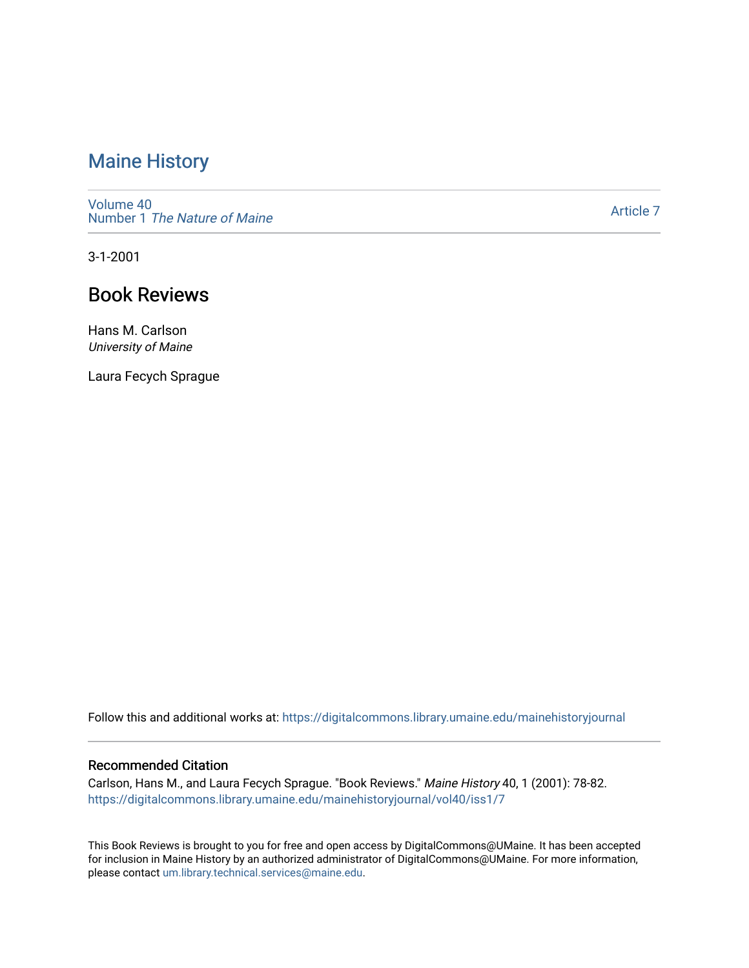## [Maine History](https://digitalcommons.library.umaine.edu/mainehistoryjournal)

[Volume 40](https://digitalcommons.library.umaine.edu/mainehistoryjournal/vol40) Number 1 [The Nature of Maine](https://digitalcommons.library.umaine.edu/mainehistoryjournal/vol40/iss1) 

[Article 7](https://digitalcommons.library.umaine.edu/mainehistoryjournal/vol40/iss1/7) 

3-1-2001

## Book Reviews

Hans M. Carlson University of Maine

Laura Fecych Sprague

Follow this and additional works at: [https://digitalcommons.library.umaine.edu/mainehistoryjournal](https://digitalcommons.library.umaine.edu/mainehistoryjournal?utm_source=digitalcommons.library.umaine.edu%2Fmainehistoryjournal%2Fvol40%2Fiss1%2F7&utm_medium=PDF&utm_campaign=PDFCoverPages) 

#### Recommended Citation

Carlson, Hans M., and Laura Fecych Sprague. "Book Reviews." Maine History 40, 1 (2001): 78-82. [https://digitalcommons.library.umaine.edu/mainehistoryjournal/vol40/iss1/7](https://digitalcommons.library.umaine.edu/mainehistoryjournal/vol40/iss1/7?utm_source=digitalcommons.library.umaine.edu%2Fmainehistoryjournal%2Fvol40%2Fiss1%2F7&utm_medium=PDF&utm_campaign=PDFCoverPages)

This Book Reviews is brought to you for free and open access by DigitalCommons@UMaine. It has been accepted for inclusion in Maine History by an authorized administrator of DigitalCommons@UMaine. For more information, please contact [um.library.technical.services@maine.edu.](mailto:um.library.technical.services@maine.edu)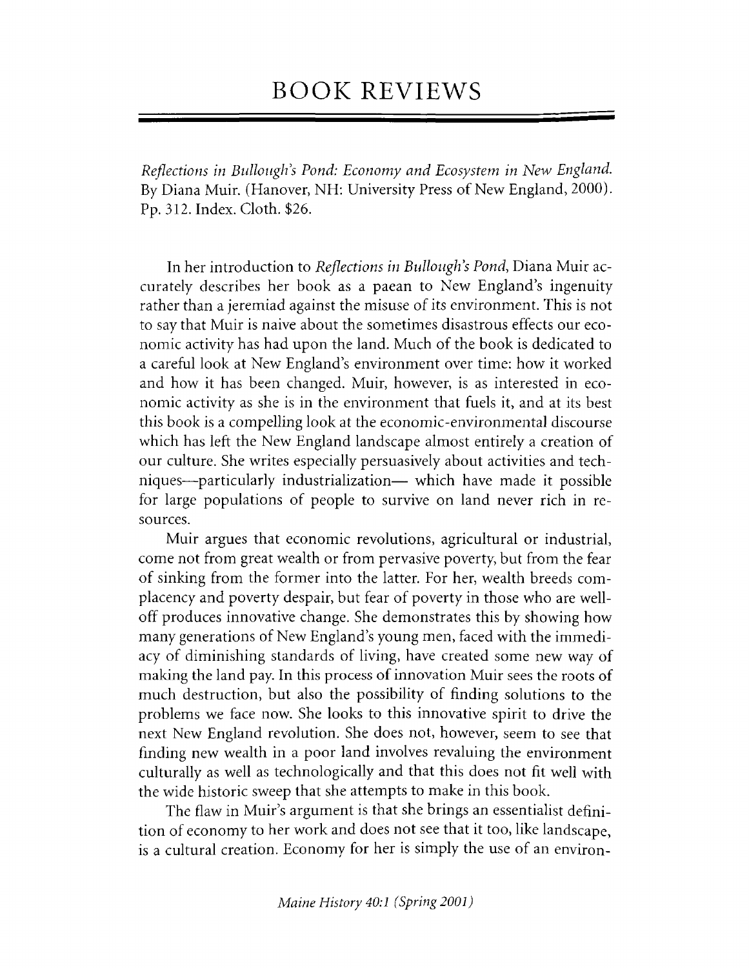# **BOOK REVIEWS**

*Reflections in Bullongh's Pond: Economy and Ecosystem in New England.* By Diana Muir. (Hanover, NH: University Press of New England, 2000). Pp. 312. Index. Cloth. \$26.

In her introduction to *Reflections in Bullough's Pond*, Diana Muir accurately describes her book as a paean to New England's ingenuity rather than a jeremiad against the misuse of its environment. This is not to say that Muir is naive about the sometimes disastrous effects our economic activity has had upon the land. Much of the book is dedicated to a careful look at New England's environment over time: how it worked and how it has been changed. Muir, however, is as interested in economic activity as she is in the environment that fuels it, and at its best this book is a compelling look at the economic-environmental discourse which has left the New England landscape almost entirely a creation of our culture. She writes especially persuasively about activities and techniques—particularly industrialization— which have made it possible for large populations of people to survive on land never rich in resources.

Muir argues that economic revolutions, agricultural or industrial, come not from great wealth or from pervasive poverty, but from the fear of sinking from the former into the latter. For her, wealth breeds complacency and poverty despair, but fear of poverty in those who are welloff produces innovative change. She demonstrates this by showing how many generations of New England's young men, faced with the immediacy of diminishing standards of living, have created some new way of making the land pay. In this process of innovation Muir sees the roots of much destruction, but also the possibility of finding solutions to the problems we face now. She looks to this innovative spirit to drive the next New England revolution. She does not, however, seem to see that finding new wealth in a poor land involves revaluing the environment culturally as well as technologically and that this does not fit well with the wide historic sweep that she attempts to make in this book.

The flaw in Muir's argument is that she brings an essentialist definition of economy to her work and does not see that it too, like landscape, is a cultural creation. Economy for her is simply the use of an environ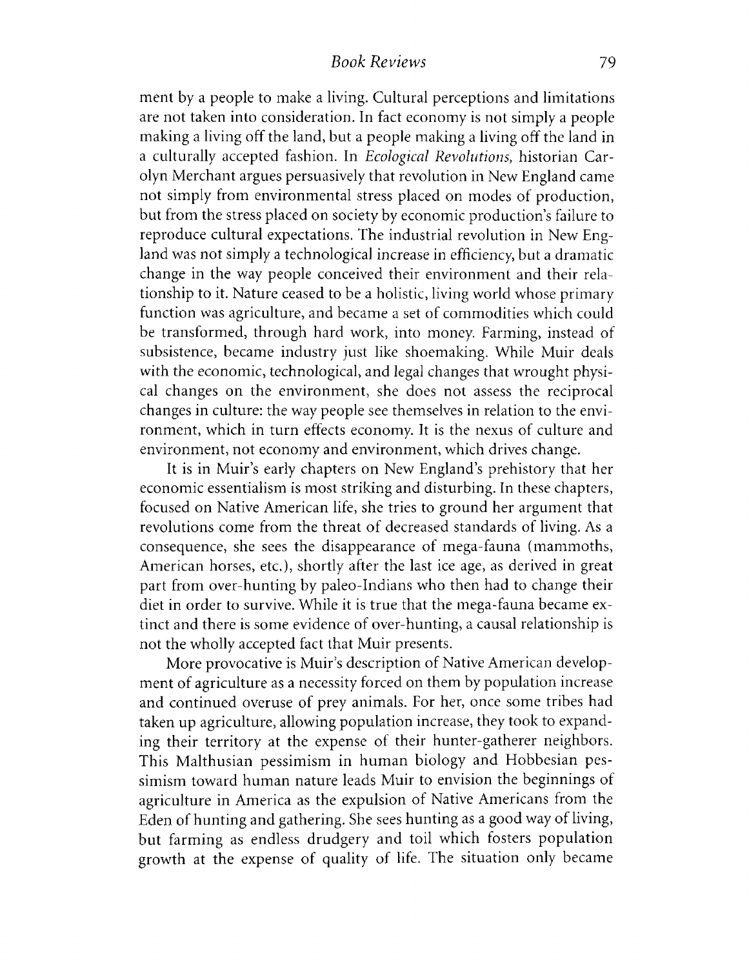ment by a people to make a living. Cultural perceptions and limitations are not taken into consideration. In fact economy is not simply a people making a living off the land, but a people making a living off the land in a culturally accepted fashion. In *Ecological Revolutions*, historian Carolyn Merchant argues persuasively that revolution in New England came not simply from environmental stress placed on modes of production, but from the stress placed on society by economic production's failure to reproduce cultural expectations. The industrial revolution in New England was not simply a technological increase in efficiency, but a dramatic change in the way people conceived their environment and their relationship to it. Nature ceased to be a holistic, living world whose primary function was agriculture, and became a set of commodities which could be transformed, through hard work, into money. Farming, instead of subsistence, became industry just like shoemaking. While Muir deals with the economic, technological, and legal changes that wrought physical changes on the environment, she does not assess the reciprocal changes in culture: the way people see themselves in relation to the environment, which in turn effects economy. It is the nexus of culture and environment, not economy and environment, which drives change.

It is in Muir's early chapters on New England's prehistory that her economic essentialism is most striking and disturbing. In these chapters, focused on Native American life, she tries to ground her argument that revolutions come from the threat of decreased standards of living. As a consequence, she sees the disappearance of mega-fauna (mammoths, American horses, etc.), shortly after the last ice age, as derived in great part from over-hunting by paleo-Indians who then had to change their diet in order to survive. While it is true that the mega-fauna became extinct and there is some evidence of over-hunting, a causal relationship is not the wholly accepted fact that Muir presents.

More provocative is Muir's description of Native American development of agriculture as a necessity forced on them by population increase and continued overuse of prey animals. For her, once some tribes had taken up agriculture, allowing population increase, they took to expanding their territory at the expense of their hunter-gatherer neighbors. This Malthusian pessimism in human biology and Hobbesian pessimism toward human nature leads Muir to envision the beginnings of agriculture in America as the expulsion of Native Americans from the Eden of hunting and gathering. She sees hunting as a good way of living, but farming as endless drudgery and toil which fosters population growth at the expense of quality of life. The situation only became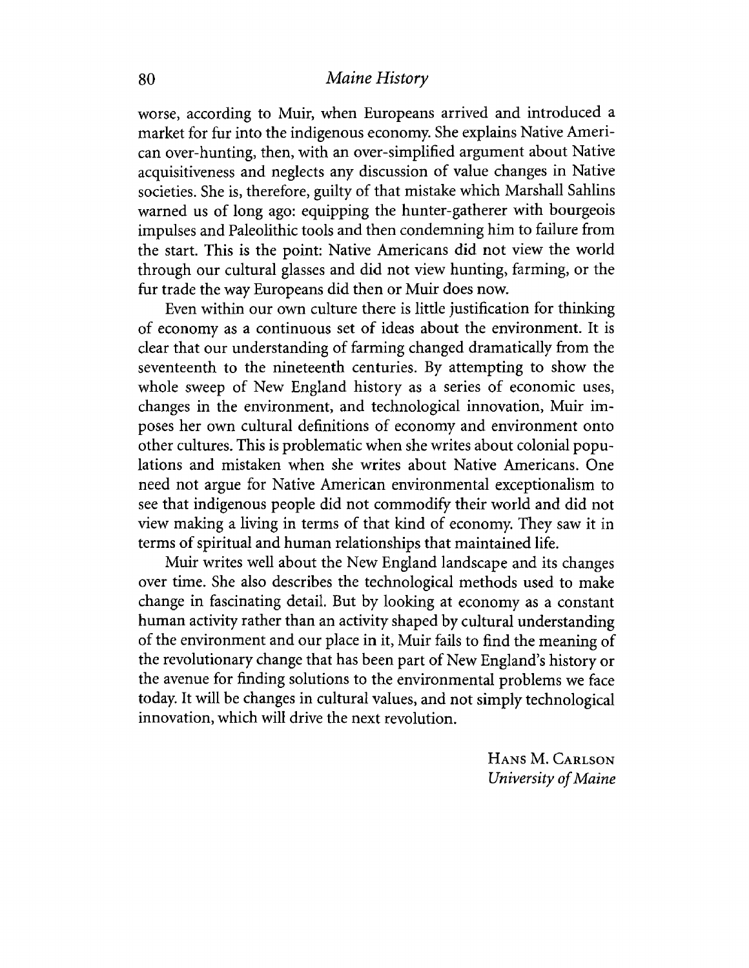### 80 *Maine History*

**worse, according to Muir, when Europeans arrived and introduced a market for fur into the indigenous economy. She explains Native American over-hunting, then, with an over-simplified argument about Native acquisitiveness and neglects any discussion of value changes in Native societies. She is, therefore, guilty of that mistake which Marshall Sahlins warned us of long ago: equipping the hunter-gatherer with bourgeois impulses and Paleolithic tools and then condemning him to failure from the start. This is the point: Native Americans did not view the world through our cultural glasses and did not view hunting, farming, or the fur trade the way Europeans did then or Muir does now.**

**Even within our own culture there is little justification for thinking of economy as a continuous set of ideas about the environment. It is clear that our understanding of farming changed dramatically from the seventeenth to the nineteenth centuries. By attempting to show the whole sweep of New England history as a series of economic uses, changes in the environment, and technological innovation, Muir imposes her own cultural definitions of economy and environment onto other cultures. This is problematic when she writes about colonial populations and mistaken when she writes about Native Americans. One need not argue for Native American environmental exceptionalism to see that indigenous people did not commodify their world and did not view making a living in terms of that kind of economy. They saw it in terms of spiritual and human relationships that maintained life.**

**Muir writes well about the New England landscape and its changes over time. She also describes the technological methods used to make change in fascinating detail. But by looking at economy as a constant human activity rather than an activity shaped by cultural understanding of the environment and our place in it, Muir fails to find the meaning of the revolutionary change that has been part of New England's history or the avenue for finding solutions to the environmental problems we face today. It will be changes in cultural values, and not simply technological innovation, which will drive the next revolution.**

> HANS M. CARLSON *University of Maine*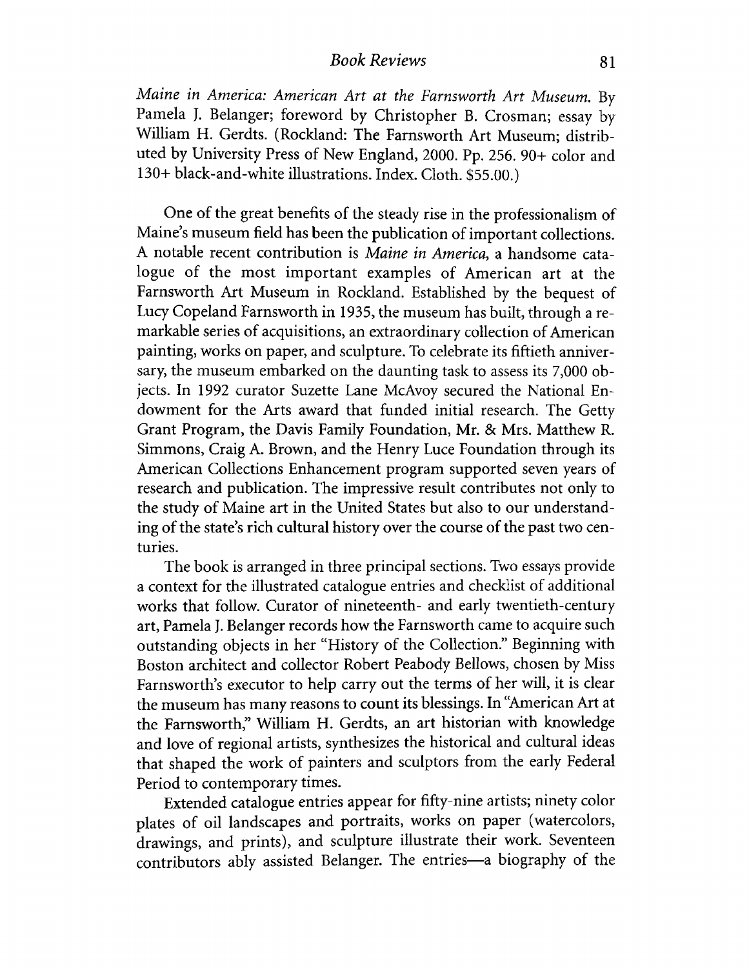### *Book Reviews* 81

*Maine in America: American Art at the Farnsworth Art Museum.* **By Pamela J. Belanger; foreword by Christopher B. Crosman; essay by William H. Gerdts. (Rockland: The Farnsworth Art Museum; distributed by University Press of New England, 2000. Pp. 256. 90+ color and 130+ black-and-white illustrations. Index. Cloth. \$55.00.)**

**One of the great benefits of the steady rise in the professionalism of Maine's museum field has been the publication of important collections. A notable recent contribution is** *Maine in America,* **a handsome catalogue of the most important examples of American art at the Farnsworth Art Museum in Rockland. Established by the bequest of Lucy Copeland Farnsworth in 1935, the museum has built, through a remarkable series of acquisitions, an extraordinary collection of American painting, works on paper, and sculpture. To celebrate its fiftieth anniversary, the museum embarked on the daunting task to assess its 7,000 objects. In 1992 curator Suzette Lane McAvoy secured the National Endowment for the Arts award that funded initial research. The Getty Grant Program, the Davis Family Foundation, Mr. & Mrs. Matthew R. Simmons, Craig A. Brown, and the Henry Luce Foundation through its American Collections Enhancement program supported seven years of research and publication. The impressive result contributes not only to the study of Maine art in the United States but also to our understanding of the state's rich cultural history over the course of the past two centuries.**

**The book is arranged in three principal sections. Two essays provide a context for the illustrated catalogue entries and checklist of additional works that follow. Curator of nineteenth- and early twentieth-century art, Pamela J. Belanger records how the Farnsworth came to acquire such outstanding objects in her "History of the Collection." Beginning with Boston architect and collector Robert Peabody Bellows, chosen by Miss Farnsworth's executor to help carry out the terms of her will, it is clear the museum has many reasons to count its blessings. In "American Art at the Farnsworth," William H. Gerdts, an art historian with knowledge and love of regional artists, synthesizes the historical and cultural ideas that shaped the work of painters and sculptors from the early Federal Period to contemporary times.**

**Extended catalogue entries appear for fifty-nine artists; ninety color** plates of oil landscapes and portraits, works on paper (watercolors, **drawings, and prints), and sculpture illustrate their work. Seventeen contributors ably assisted Belanger. The entries— a biography of the**